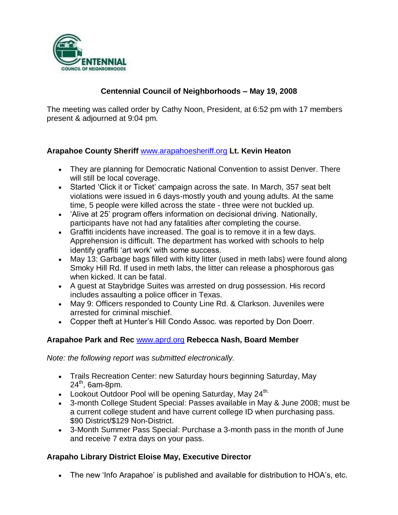

# **Centennial Council of Neighborhoods – May 19, 2008**

The meeting was called order by Cathy Noon, President, at 6:52 pm with 17 members present & adjourned at 9:04 pm.

## **Arapahoe County Sheriff** [www.arapahoesheriff.org](http://www.arapahoesheriff.org/) **Lt. Kevin Heaton**

- They are planning for Democratic National Convention to assist Denver. There will still be local coverage.
- Started 'Click it or Ticket' campaign across the sate. In March, 357 seat belt violations were issued in 6 days-mostly youth and young adults. At the same time, 5 people were killed across the state - three were not buckled up.
- 'Alive at 25' program offers information on decisional driving. Nationally, participants have not had any fatalities after completing the course.
- Graffiti incidents have increased. The goal is to remove it in a few days. Apprehension is difficult. The department has worked with schools to help identify graffiti 'art work' with some success.
- May 13: Garbage bags filled with kitty litter (used in meth labs) were found along Smoky Hill Rd. If used in meth labs, the litter can release a phosphorous gas when kicked. It can be fatal.
- A guest at Staybridge Suites was arrested on drug possession. His record includes assaulting a police officer in Texas.
- May 9: Officers responded to County Line Rd. & Clarkson. Juveniles were arrested for criminal mischief.
- Copper theft at Hunter's Hill Condo Assoc. was reported by Don Doerr.

# **Arapahoe Park and Rec** [www.aprd.org](http://www.aprd.org/) **Rebecca Nash, Board Member**

*Note: the following report was submitted electronically.*

- Trails Recreation Center: new Saturday hours beginning Saturday, May 24<sup>th</sup>, 6am-8pm.
- Lookout Outdoor Pool will be opening Saturday, May  $24^{\text{th}}$ .
- 3-month College Student Special: Passes available in May & June 2008; must be a current college student and have current college ID when purchasing pass. \$90 District/\$129 Non-District.
- 3-Month Summer Pass Special: Purchase a 3-month pass in the month of June and receive 7 extra days on your pass.

# **Arapaho Library District Eloise May, Executive Director**

The new 'Info Arapahoe' is published and available for distribution to HOA's, etc.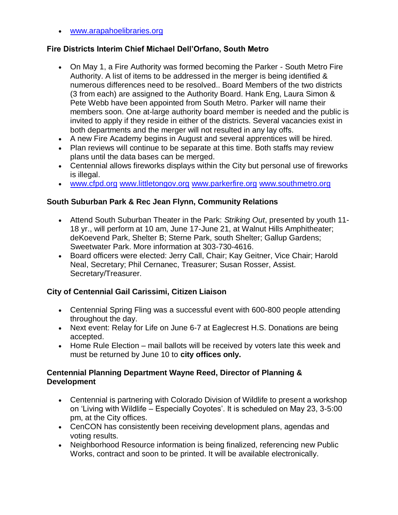[www.arapahoelibraries.org](http://www.arapahoelibraries.org/)

### **Fire Districts Interim Chief Michael Dell'Orfano, South Metro**

- On May 1, a Fire Authority was formed becoming the Parker South Metro Fire Authority. A list of items to be addressed in the merger is being identified & numerous differences need to be resolved.. Board Members of the two districts (3 from each) are assigned to the Authority Board. Hank Eng, Laura Simon & Pete Webb have been appointed from South Metro. Parker will name their members soon. One at-large authority board member is needed and the public is invited to apply if they reside in either of the districts. Several vacancies exist in both departments and the merger will not resulted in any lay offs.
- A new Fire Academy begins in August and several apprentices will be hired.
- Plan reviews will continue to be separate at this time. Both staffs may review plans until the data bases can be merged.
- Centennial allows fireworks displays within the City but personal use of fireworks is illegal.
- [www.cfpd.org](http://www.cfpd.org/) [www.littletongov.org](http://www.littletongov.org/) [www.parkerfire.org](http://www.parkerfire.org/) [www.southmetro.org](http://www.southmetro.org/)

## **South Suburban Park & Rec Jean Flynn, Community Relations**

- Attend South Suburban Theater in the Park: *Striking Out*, presented by youth 11- 18 yr., will perform at 10 am, June 17-June 21, at Walnut Hills Amphitheater; deKoevend Park, Shelter B; Sterne Park, south Shelter; Gallup Gardens; Sweetwater Park. More information at 303-730-4616.
- Board officers were elected: Jerry Call, Chair; Kay Geitner, Vice Chair; Harold Neal, Secretary; Phil Cernanec, Treasurer; Susan Rosser, Assist. Secretary/Treasurer.

# **City of Centennial Gail Carissimi, Citizen Liaison**

- Centennial Spring Fling was a successful event with 600-800 people attending throughout the day.
- Next event: Relay for Life on June 6-7 at Eaglecrest H.S. Donations are being accepted.
- Home Rule Election mail ballots will be received by voters late this week and must be returned by June 10 to **city offices only.**

#### **Centennial Planning Department Wayne Reed, Director of Planning & Development**

- Centennial is partnering with Colorado Division of Wildlife to present a workshop on 'Living with Wildlife – Especially Coyotes'. It is scheduled on May 23, 3-5:00 pm, at the City offices.
- CenCON has consistently been receiving development plans, agendas and voting results.
- Neighborhood Resource information is being finalized, referencing new Public Works, contract and soon to be printed. It will be available electronically.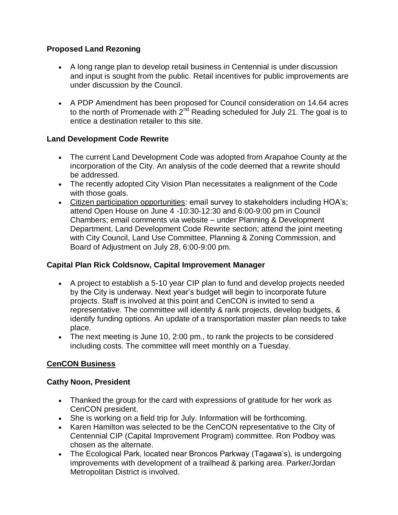# **Proposed Land Rezoning**

- A long range plan to develop retail business in Centennial is under discussion and input is sought from the public. Retail incentives for public improvements are under discussion by the Council.
- A PDP Amendment has been proposed for Council consideration on 14.64 acres to the north of Promenade with  $2<sup>nd</sup>$  Reading scheduled for July 21. The goal is to entice a destination retailer to this site.

## **Land Development Code Rewrite**

- The current Land Development Code was adopted from Arapahoe County at the incorporation of the City. An analysis of the code deemed that a rewrite should be addressed.
- The recently adopted City Vision Plan necessitates a realignment of the Code with those goals.
- Citizen participation opportunities: email survey to stakeholders including HOA's; attend Open House on June 4 -10:30-12:30 and 6:00-9:00 pm in Council Chambers; email comments via website – under Planning & Development Department, Land Development Code Rewrite section; attend the joint meeting with City Council, Land Use Committee, Planning & Zoning Commission, and Board of Adjustment on July 28, 6:00-9:00 pm.

# **Capital Plan Rick Coldsnow, Capital Improvement Manager**

- A project to establish a 5-10 year CIP plan to fund and develop projects needed by the City is underway. Next year's budget will begin to incorporate future projects. Staff is involved at this point and CenCON is invited to send a representative. The committee will identify & rank projects, develop budgets, & identify funding options. An update of a transportation master plan needs to take place.
- The next meeting is June 10, 2:00 pm., to rank the projects to be considered including costs. The committee will meet monthly on a Tuesday.

# **CenCON Business**

#### **Cathy Noon, President**

- Thanked the group for the card with expressions of gratitude for her work as CenCON president.
- She is working on a field trip for July. Information will be forthcoming.
- Karen Hamilton was selected to be the CenCON representative to the City of Centennial CIP (Capital Improvement Program) committee. Ron Podboy was chosen as the alternate.
- The Ecological Park, located near Broncos Parkway (Tagawa's), is undergoing improvements with development of a trailhead & parking area. Parker/Jordan Metropolitan District is involved.